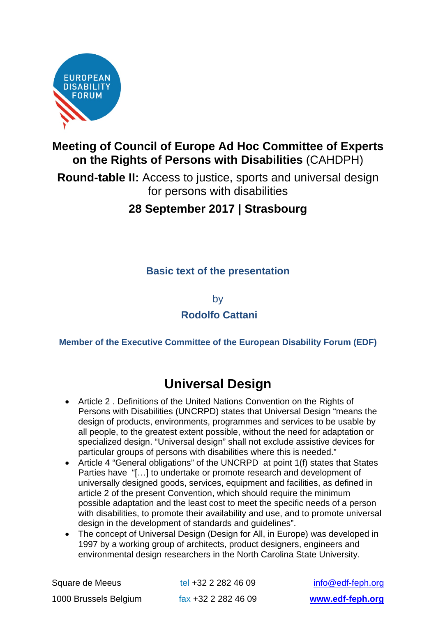

## **Meeting of Council of Europe Ad Hoc Committee of Experts on the Rights of Persons with Disabilities** (CAHDPH)

**Round-table II:** Access to justice, sports and universal design for persons with disabilities

## **28 September 2017 | Strasbourg**

### **Basic text of the presentation**

by

#### **Rodolfo Cattani**

#### **Member of the Executive Committee of the European Disability Forum (EDF)**

# **Universal Design**

- Article 2 . Definitions of the United Nations Convention on the Rights of Persons with Disabilities (UNCRPD) states that Universal Design "means the design of products, environments, programmes and services to be usable by all people, to the greatest extent possible, without the need for adaptation or specialized design. "Universal design" shall not exclude assistive devices for particular groups of persons with disabilities where this is needed."
- Article 4 "General obligations" of the UNCRPD at point 1(f) states that States Parties have "[…] to undertake or promote research and development of universally designed goods, services, equipment and facilities, as defined in article 2 of the present Convention, which should require the minimum possible adaptation and the least cost to meet the specific needs of a person with disabilities, to promote their availability and use, and to promote universal design in the development of standards and guidelines".
- The concept of Universal Design (Design for All, in Europe) was developed in 1997 by a working group of architects, product designers, engineers and environmental design researchers in the North Carolina State University.

| Square de Meeus       | tel +32 2 282 46 09 | info@edf-feph.org |
|-----------------------|---------------------|-------------------|
| 1000 Brussels Belgium | fax +32 2 282 46 09 | www.edf-feph.org  |